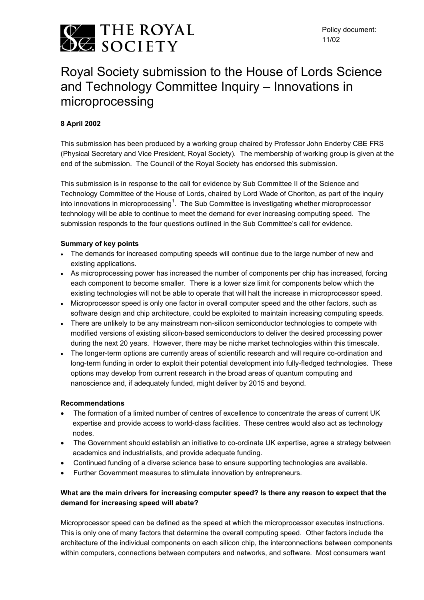

# Royal Society submission to the House of Lords Science and Technology Committee Inquiry – Innovations in microprocessing

# **8 April 2002**

This submission has been produced by a working group chaired by Professor John Enderby CBE FRS (Physical Secretary and Vice President, Royal Society). The membership of working group is given at the end of the submission. The Council of the Royal Society has endorsed this submission.

This submission is in response to the call for evidence by Sub Committee II of the Science and Technology Committee of the House of Lords, chaired by Lord Wade of Chorlton, as part of the inquiry into innovations in microprocessing<sup>1</sup>. The Sub Committee is investigating whether microprocessor technology will be able to continue to meet the demand for ever increasing computing speed. The submission responds to the four questions outlined in the Sub Committee's call for evidence.

#### **Summary of key points**

- The demands for increased computing speeds will continue due to the large number of new and existing applications.
- As microprocessing power has increased the number of components per chip has increased, forcing each component to become smaller. There is a lower size limit for components below which the existing technologies will not be able to operate that will halt the increase in microprocessor speed.
- Microprocessor speed is only one factor in overall computer speed and the other factors, such as software design and chip architecture, could be exploited to maintain increasing computing speeds.
- There are unlikely to be any mainstream non-silicon semiconductor technologies to compete with modified versions of existing silicon-based semiconductors to deliver the desired processing power during the next 20 years. However, there may be niche market technologies within this timescale.
- The longer-term options are currently areas of scientific research and will require co-ordination and long-term funding in order to exploit their potential development into fully-fledged technologies. These options may develop from current research in the broad areas of quantum computing and nanoscience and, if adequately funded, might deliver by 2015 and beyond.

#### **Recommendations**

- The formation of a limited number of centres of excellence to concentrate the areas of current UK expertise and provide access to world-class facilities. These centres would also act as technology nodes.
- The Government should establish an initiative to co-ordinate UK expertise, agree a strategy between academics and industrialists, and provide adequate funding.
- Continued funding of a diverse science base to ensure supporting technologies are available.
- Further Government measures to stimulate innovation by entrepreneurs.

# **What are the main drivers for increasing computer speed? Is there any reason to expect that the demand for increasing speed will abate?**

Microprocessor speed can be defined as the speed at which the microprocessor executes instructions. This is only one of many factors that determine the overall computing speed. Other factors include the architecture of the individual components on each silicon chip, the interconnections between components within computers, connections between computers and networks, and software. Most consumers want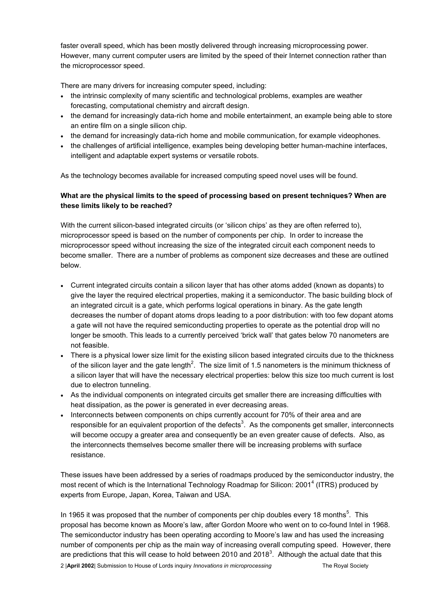faster overall speed, which has been mostly delivered through increasing microprocessing power. However, many current computer users are limited by the speed of their Internet connection rather than the microprocessor speed.

There are many drivers for increasing computer speed, including:

- the intrinsic complexity of many scientific and technological problems, examples are weather forecasting, computational chemistry and aircraft design.
- the demand for increasingly data-rich home and mobile entertainment, an example being able to store an entire film on a single silicon chip.
- the demand for increasingly data-rich home and mobile communication, for example videophones.
- the challenges of artificial intelligence, examples being developing better human-machine interfaces, intelligent and adaptable expert systems or versatile robots.

As the technology becomes available for increased computing speed novel uses will be found.

## **What are the physical limits to the speed of processing based on present techniques? When are these limits likely to be reached?**

With the current silicon-based integrated circuits (or 'silicon chips' as they are often referred to), microprocessor speed is based on the number of components per chip. In order to increase the microprocessor speed without increasing the size of the integrated circuit each component needs to become smaller. There are a number of problems as component size decreases and these are outlined below.

- Current integrated circuits contain a silicon layer that has other atoms added (known as dopants) to give the layer the required electrical properties, making it a semiconductor. The basic building block of an integrated circuit is a gate, which performs logical operations in binary. As the gate length decreases the number of dopant atoms drops leading to a poor distribution: with too few dopant atoms a gate will not have the required semiconducting properties to operate as the potential drop will no longer be smooth. This leads to a currently perceived 'brick wall' that gates below 70 nanometers are not feasible.
- There is a physical lower size limit for the existing silicon based integrated circuits due to the thickness of the silicon layer and the gate length<sup>2</sup>. The size limit of 1.5 nanometers is the minimum thickness of a silicon layer that will have the necessary electrical properties: below this size too much current is lost due to electron tunneling.
- As the individual components on integrated circuits get smaller there are increasing difficulties with heat dissipation, as the power is generated in ever decreasing areas.
- Interconnects between components on chips currently account for 70% of their area and are responsible for an equivalent proportion of the defects<sup>3</sup>. As the components get smaller, interconnects will become occupy a greater area and consequently be an even greater cause of defects. Also, as the interconnects themselves become smaller there will be increasing problems with surface resistance.

These issues have been addressed by a series of roadmaps produced by the semiconductor industry, the most recent of which is the International Technology Roadmap for Silicon: 2001<sup>4</sup> (ITRS) produced by experts from Europe, Japan, Korea, Taiwan and USA.

In 1965 it was proposed that the number of components per chip doubles every 18 months $<sup>5</sup>$ . This</sup> proposal has become known as Moore's law, after Gordon Moore who went on to co-found Intel in 1968. The semiconductor industry has been operating according to Moore's law and has used the increasing number of components per chip as the main way of increasing overall computing speed. However, there are predictions that this will cease to hold between 2010 and 2018<sup>3</sup>. Although the actual date that this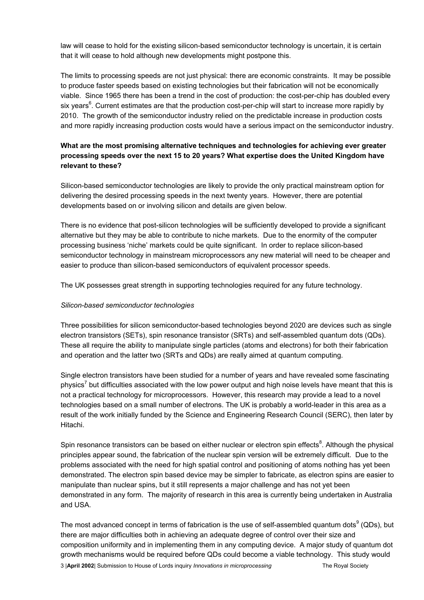law will cease to hold for the existing silicon-based semiconductor technology is uncertain, it is certain that it will cease to hold although new developments might postpone this.

The limits to processing speeds are not just physical: there are economic constraints. It may be possible to produce faster speeds based on existing technologies but their fabrication will not be economically viable. Since 1965 there has been a trend in the cost of production: the cost-per-chip has doubled every six years<sup>6</sup>. Current estimates are that the production cost-per-chip will start to increase more rapidly by 2010. The growth of the semiconductor industry relied on the predictable increase in production costs and more rapidly increasing production costs would have a serious impact on the semiconductor industry.

## **What are the most promising alternative techniques and technologies for achieving ever greater processing speeds over the next 15 to 20 years? What expertise does the United Kingdom have relevant to these?**

Silicon-based semiconductor technologies are likely to provide the only practical mainstream option for delivering the desired processing speeds in the next twenty years. However, there are potential developments based on or involving silicon and details are given below.

There is no evidence that post-silicon technologies will be sufficiently developed to provide a significant alternative but they may be able to contribute to niche markets. Due to the enormity of the computer processing business 'niche' markets could be quite significant. In order to replace silicon-based semiconductor technology in mainstream microprocessors any new material will need to be cheaper and easier to produce than silicon-based semiconductors of equivalent processor speeds.

The UK possesses great strength in supporting technologies required for any future technology.

#### *Silicon-based semiconductor technologies*

Three possibilities for silicon semiconductor-based technologies beyond 2020 are devices such as single electron transistors (SETs), spin resonance transistor (SRTs) and self-assembled quantum dots (QDs). These all require the ability to manipulate single particles (atoms and electrons) for both their fabrication and operation and the latter two (SRTs and QDs) are really aimed at quantum computing.

Single electron transistors have been studied for a number of years and have revealed some fascinating physics<sup>7</sup> but difficulties associated with the low power output and high noise levels have meant that this is not a practical technology for microprocessors. However, this research may provide a lead to a novel technologies based on a small number of electrons. The UK is probably a world-leader in this area as a result of the work initially funded by the Science and Engineering Research Council (SERC), then later by Hitachi.

Spin resonance transistors can be based on either nuclear or electron spin effects<sup>8</sup>. Although the physical principles appear sound, the fabrication of the nuclear spin version will be extremely difficult. Due to the problems associated with the need for high spatial control and positioning of atoms nothing has yet been demonstrated. The electron spin based device may be simpler to fabricate, as electron spins are easier to manipulate than nuclear spins, but it still represents a major challenge and has not yet been demonstrated in any form. The majority of research in this area is currently being undertaken in Australia and USA.

The most advanced concept in terms of fabrication is the use of self-assembled quantum dots $^9$  (QDs), but there are major difficulties both in achieving an adequate degree of control over their size and composition uniformity and in implementing them in any computing device. A major study of quantum dot growth mechanisms would be required before QDs could become a viable technology. This study would 3 |**April 2002**| Submission to House of Lords inquiry *Innovations in microprocessing* The Royal Society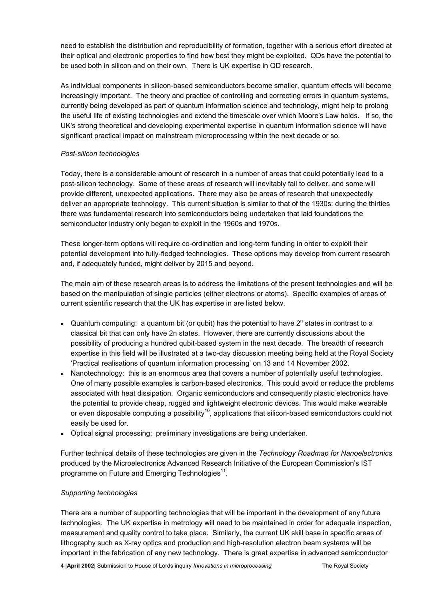need to establish the distribution and reproducibility of formation, together with a serious effort directed at their optical and electronic properties to find how best they might be exploited. QDs have the potential to be used both in silicon and on their own. There is UK expertise in QD research.

As individual components in silicon-based semiconductors become smaller, quantum effects will become increasingly important. The theory and practice of controlling and correcting errors in quantum systems, currently being developed as part of quantum information science and technology, might help to prolong the useful life of existing technologies and extend the timescale over which Moore's Law holds. If so, the UK's strong theoretical and developing experimental expertise in quantum information science will have significant practical impact on mainstream microprocessing within the next decade or so.

#### *Post-silicon technologies*

Today, there is a considerable amount of research in a number of areas that could potentially lead to a post-silicon technology. Some of these areas of research will inevitably fail to deliver, and some will provide different, unexpected applications. There may also be areas of research that unexpectedly deliver an appropriate technology. This current situation is similar to that of the 1930s: during the thirties there was fundamental research into semiconductors being undertaken that laid foundations the semiconductor industry only began to exploit in the 1960s and 1970s.

These longer-term options will require co-ordination and long-term funding in order to exploit their potential development into fully-fledged technologies. These options may develop from current research and, if adequately funded, might deliver by 2015 and beyond.

The main aim of these research areas is to address the limitations of the present technologies and will be based on the manipulation of single particles (either electrons or atoms). Specific examples of areas of current scientific research that the UK has expertise in are listed below.

- Quantum computing: a quantum bit (or qubit) has the potential to have  $2^n$  states in contrast to a classical bit that can only have 2n states. However, there are currently discussions about the possibility of producing a hundred qubit-based system in the next decade*.* The breadth of research expertise in this field will be illustrated at a two-day discussion meeting being held at the Royal Society 'Practical realisations of quantum information processing' on 13 and 14 November 2002.
- Nanotechnology: this is an enormous area that covers a number of potentially useful technologies. One of many possible examples is carbon-based electronics. This could avoid or reduce the problems associated with heat dissipation. Organic semiconductors and consequently plastic electronics have the potential to provide cheap, rugged and lightweight electronic devices. This would make wearable or even disposable computing a possibility<sup>10</sup>, applications that silicon-based semiconductors could not easily be used for.
- Optical signal processing: preliminary investigations are being undertaken.

Further technical details of these technologies are given in the *Technology Roadmap for Nanoelectronics* produced by the Microelectronics Advanced Research Initiative of the European Commission's IST programme on Future and Emerging Technologies $11$ .

#### *Supporting technologies*

There are a number of supporting technologies that will be important in the development of any future technologies. The UK expertise in metrology will need to be maintained in order for adequate inspection, measurement and quality control to take place. Similarly, the current UK skill base in specific areas of lithography such as X-ray optics and production and high-resolution electron beam systems will be important in the fabrication of any new technology. There is great expertise in advanced semiconductor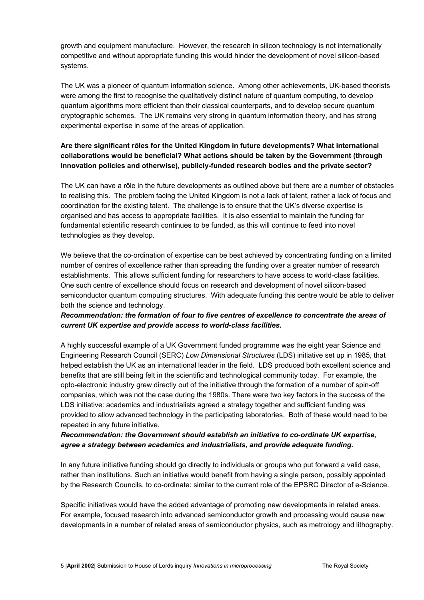growth and equipment manufacture. However, the research in silicon technology is not internationally competitive and without appropriate funding this would hinder the development of novel silicon-based systems.

The UK was a pioneer of quantum information science. Among other achievements, UK-based theorists were among the first to recognise the qualitatively distinct nature of quantum computing, to develop quantum algorithms more efficient than their classical counterparts, and to develop secure quantum cryptographic schemes. The UK remains very strong in quantum information theory, and has strong experimental expertise in some of the areas of application.

# **Are there significant rôles for the United Kingdom in future developments? What international collaborations would be beneficial? What actions should be taken by the Government (through innovation policies and otherwise), publicly-funded research bodies and the private sector?**

The UK can have a rôle in the future developments as outlined above but there are a number of obstacles to realising this. The problem facing the United Kingdom is not a lack of talent, rather a lack of focus and coordination for the existing talent. The challenge is to ensure that the UK's diverse expertise is organised and has access to appropriate facilities. It is also essential to maintain the funding for fundamental scientific research continues to be funded, as this will continue to feed into novel technologies as they develop.

We believe that the co-ordination of expertise can be best achieved by concentrating funding on a limited number of centres of excellence rather than spreading the funding over a greater number of research establishments. This allows sufficient funding for researchers to have access to world-class facilities. One such centre of excellence should focus on research and development of novel silicon-based semiconductor quantum computing structures. With adequate funding this centre would be able to deliver both the science and technology.

## *Recommendation: the formation of four to five centres of excellence to concentrate the areas of current UK expertise and provide access to world-class facilities.*

A highly successful example of a UK Government funded programme was the eight year Science and Engineering Research Council (SERC) *Low Dimensional Structures* (LDS) initiative set up in 1985, that helped establish the UK as an international leader in the field. LDS produced both excellent science and benefits that are still being felt in the scientific and technological community today. For example, the opto-electronic industry grew directly out of the initiative through the formation of a number of spin-off companies, which was not the case during the 1980s. There were two key factors in the success of the LDS initiative: academics and industrialists agreed a strategy together and sufficient funding was provided to allow advanced technology in the participating laboratories. Both of these would need to be repeated in any future initiative.

## *Recommendation: the Government should establish an initiative to co-ordinate UK expertise, agree a strategy between academics and industrialists, and provide adequate funding.*

In any future initiative funding should go directly to individuals or groups who put forward a valid case, rather than institutions. Such an initiative would benefit from having a single person, possibly appointed by the Research Councils, to co-ordinate: similar to the current role of the EPSRC Director of e-Science.

Specific initiatives would have the added advantage of promoting new developments in related areas. For example, focused research into advanced semiconductor growth and processing would cause new developments in a number of related areas of semiconductor physics, such as metrology and lithography.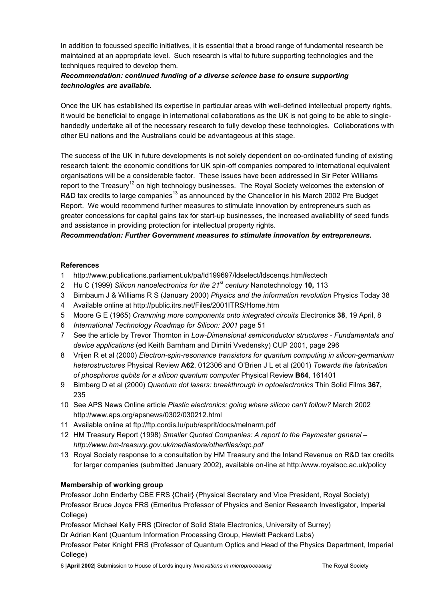In addition to focussed specific initiatives, it is essential that a broad range of fundamental research be maintained at an appropriate level. Such research is vital to future supporting technologies and the techniques required to develop them.

## *Recommendation: continued funding of a diverse science base to ensure supporting technologies are available.*

Once the UK has established its expertise in particular areas with well-defined intellectual property rights, it would be beneficial to engage in international collaborations as the UK is not going to be able to singlehandedly undertake all of the necessary research to fully develop these technologies. Collaborations with other EU nations and the Australians could be advantageous at this stage.

The success of the UK in future developments is not solely dependent on co-ordinated funding of existing research talent: the economic conditions for UK spin-off companies compared to international equivalent organisations will be a considerable factor. These issues have been addressed in Sir Peter Williams report to the Treasury<sup>12</sup> on high technology businesses. The Royal Society welcomes the extension of R&D tax credits to large companies<sup>13</sup> as announced by the Chancellor in his March 2002 Pre Budget Report. We would recommend further measures to stimulate innovation by entrepreneurs such as greater concessions for capital gains tax for start-up businesses, the increased availability of seed funds and assistance in providing protection for intellectual property rights.

*Recommendation: Further Government measures to stimulate innovation by entrepreneurs.* 

#### **References**

- 1 http://www.publications.parliament.uk/pa/ld199697/ldselect/ldscenqs.htm#sctech
- 2 Hu C (1999) *Silicon nanoelectronics for the 21st century* Nanotechnology **10,** 113
- 3 Birnbaum J & Williams R S (January 2000) *Physics and the information revolution* Physics Today 38
- 4 Available online at http://public.itrs.net/Files/2001ITRS/Home.htm
- 5 Moore G E (1965) *Cramming more components onto integrated circuits* Electronics **38**, 19 April, 8
- 6 *International Technology Roadmap for Silicon: 2001* page 51
- 7 See the article by Trevor Thornton in *Low-Dimensional semiconductor structures - Fundamentals and device applications* (ed Keith Barnham and Dimitri Vvedensky) CUP 2001, page 296
- 8 Vrijen R et al (2000) *Electron-spin-resonance transistors for quantum computing in silicon-germanium heterostructures* Physical Review **A62**, 012306 and O'Brien J L et al (2001) *Towards the fabrication of phosphorus qubits for a silicon quantum computer* Physical Review **B64**, 161401
- 9 Bimberg D et al (2000) *Quantum dot lasers: breakthrough in optoelectronics* Thin Solid Films **367,**  235
- 10 See APS News Online article *Plastic electronics: going where silicon can't follow?* March 2002 http://www.aps.org/apsnews/0302/030212.html
- 11 Available online at ftp://ftp.cordis.lu/pub/esprit/docs/melnarm.pdf
- 12 HM Treasury Report (1998) *Smaller Quoted Companies: A report to the Paymaster general – http://www.hm-treasury.gov.uk/mediastore/otherfiles/sqc.pdf*
- 13 Royal Society response to a consultation by HM Treasury and the Inland Revenue on R&D tax credits for larger companies (submitted January 2002), available on-line at http:/www.royalsoc.ac.uk/policy

## **Membership of working group**

Professor John Enderby CBE FRS {Chair} (Physical Secretary and Vice President, Royal Society) Professor Bruce Joyce FRS (Emeritus Professor of Physics and Senior Research Investigator, Imperial College)

Professor Michael Kelly FRS (Director of Solid State Electronics, University of Surrey)

Dr Adrian Kent (Quantum Information Processing Group, Hewlett Packard Labs)

Professor Peter Knight FRS (Professor of Quantum Optics and Head of the Physics Department, Imperial College)